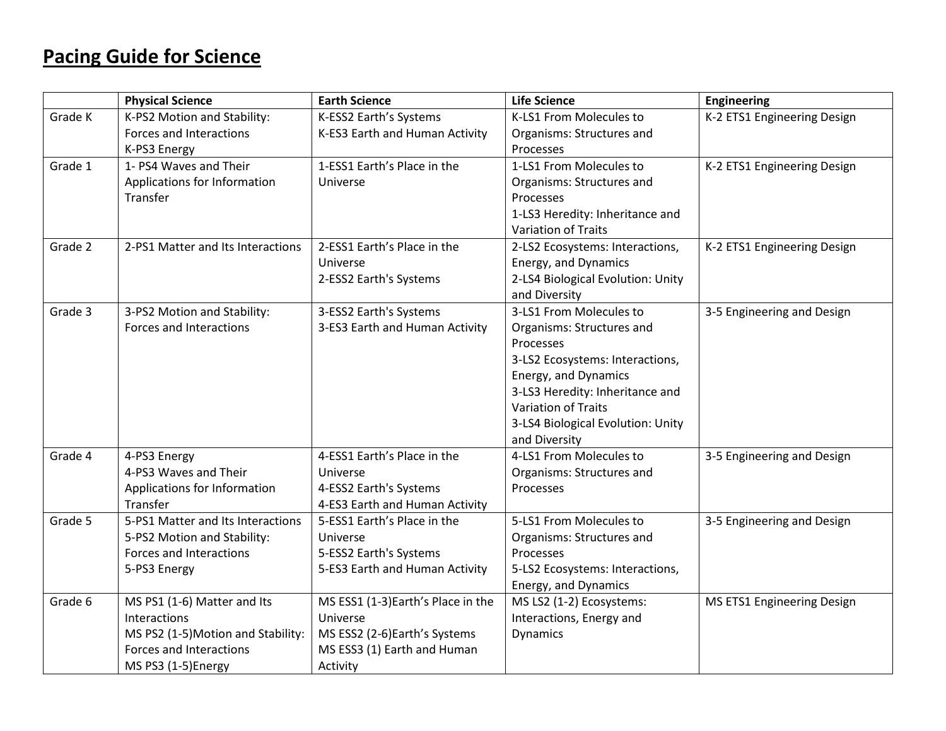## **Pacing Guide for Science**

|         | <b>Physical Science</b>                                      | <b>Earth Science</b>              | <b>Life Science</b>               | <b>Engineering</b>          |
|---------|--------------------------------------------------------------|-----------------------------------|-----------------------------------|-----------------------------|
| Grade K | K-PS2 Motion and Stability:                                  | K-ESS2 Earth's Systems            | K-LS1 From Molecules to           | K-2 ETS1 Engineering Design |
|         | Forces and Interactions                                      | K-ES3 Earth and Human Activity    | Organisms: Structures and         |                             |
|         | K-PS3 Energy                                                 |                                   | Processes                         |                             |
| Grade 1 | 1- PS4 Waves and Their                                       | 1-ESS1 Earth's Place in the       | 1-LS1 From Molecules to           | K-2 ETS1 Engineering Design |
|         | Applications for Information                                 | Universe                          | Organisms: Structures and         |                             |
|         | Transfer                                                     |                                   | Processes                         |                             |
|         |                                                              |                                   | 1-LS3 Heredity: Inheritance and   |                             |
|         |                                                              |                                   | Variation of Traits               |                             |
| Grade 2 | 2-PS1 Matter and Its Interactions                            | 2-ESS1 Earth's Place in the       | 2-LS2 Ecosystems: Interactions,   | K-2 ETS1 Engineering Design |
|         |                                                              | Universe                          | Energy, and Dynamics              |                             |
|         |                                                              | 2-ESS2 Earth's Systems            | 2-LS4 Biological Evolution: Unity |                             |
|         |                                                              |                                   | and Diversity                     |                             |
| Grade 3 | 3-PS2 Motion and Stability:                                  | 3-ESS2 Earth's Systems            | 3-LS1 From Molecules to           | 3-5 Engineering and Design  |
|         | Forces and Interactions                                      | 3-ES3 Earth and Human Activity    | Organisms: Structures and         |                             |
|         |                                                              |                                   | Processes                         |                             |
|         |                                                              |                                   | 3-LS2 Ecosystems: Interactions,   |                             |
|         |                                                              |                                   | Energy, and Dynamics              |                             |
|         |                                                              |                                   | 3-LS3 Heredity: Inheritance and   |                             |
|         |                                                              |                                   | Variation of Traits               |                             |
|         |                                                              |                                   | 3-LS4 Biological Evolution: Unity |                             |
|         |                                                              |                                   | and Diversity                     |                             |
| Grade 4 | 4-PS3 Energy                                                 | 4-ESS1 Earth's Place in the       | 4-LS1 From Molecules to           | 3-5 Engineering and Design  |
|         | 4-PS3 Waves and Their                                        | Universe                          | Organisms: Structures and         |                             |
|         | Applications for Information                                 | 4-ESS2 Earth's Systems            | Processes                         |                             |
|         | Transfer                                                     | 4-ES3 Earth and Human Activity    |                                   |                             |
| Grade 5 | 5-PS1 Matter and Its Interactions                            | 5-ESS1 Earth's Place in the       | 5-LS1 From Molecules to           | 3-5 Engineering and Design  |
|         | 5-PS2 Motion and Stability:                                  | Universe                          | Organisms: Structures and         |                             |
|         | Forces and Interactions                                      | 5-ESS2 Earth's Systems            | Processes                         |                             |
|         | 5-PS3 Energy                                                 | 5-ES3 Earth and Human Activity    | 5-LS2 Ecosystems: Interactions,   |                             |
|         |                                                              |                                   | Energy, and Dynamics              |                             |
| Grade 6 | MS PS1 (1-6) Matter and Its                                  | MS ESS1 (1-3)Earth's Place in the | MS LS2 (1-2) Ecosystems:          | MS ETS1 Engineering Design  |
|         | Interactions                                                 | Universe                          | Interactions, Energy and          |                             |
|         | MS PS2 (1-5)Motion and Stability:<br>Forces and Interactions | MS ESS2 (2-6)Earth's Systems      | Dynamics                          |                             |
|         |                                                              | MS ESS3 (1) Earth and Human       |                                   |                             |
|         | MS PS3 (1-5)Energy                                           | Activity                          |                                   |                             |